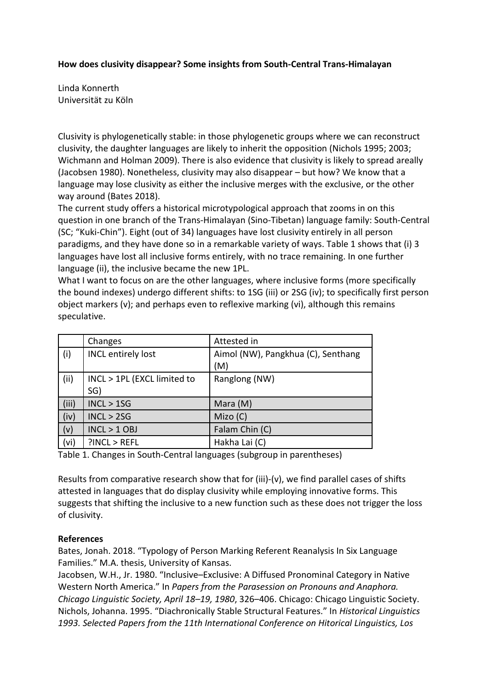## **How does clusivity disappear? Some insights from South-Central Trans-Himalayan**

Linda Konnerth Universität zu Köln

Clusivity is phylogenetically stable: in those phylogenetic groups where we can reconstruct clusivity, the daughter languages are likely to inherit the opposition (Nichols 1995; 2003; Wichmann and Holman 2009). There is also evidence that clusivity is likely to spread areally (Jacobsen 1980). Nonetheless, clusivity may also disappear – but how? We know that a language may lose clusivity as either the inclusive merges with the exclusive, or the other way around (Bates 2018).

The current study offers a historical microtypological approach that zooms in on this question in one branch of the Trans-Himalayan (Sino-Tibetan) language family: South-Central (SC; "Kuki-Chin"). Eight (out of 34) languages have lost clusivity entirely in all person paradigms, and they have done so in a remarkable variety of ways. Table 1 shows that (i) 3 languages have lost all inclusive forms entirely, with no trace remaining. In one further language (ii), the inclusive became the new 1PL.

What I want to focus on are the other languages, where inclusive forms (more specifically the bound indexes) undergo different shifts: to 1SG (iii) or 2SG (iv); to specifically first person object markers (v); and perhaps even to reflexive marking (vi), although this remains speculative.

|       | Changes                            | Attested in                               |
|-------|------------------------------------|-------------------------------------------|
| (i)   | <b>INCL entirely lost</b>          | Aimol (NW), Pangkhua (C), Senthang<br>(M) |
| (ii)  | INCL > 1PL (EXCL limited to<br>SG) | Ranglong (NW)                             |
| (iii) | INCL > 15G                         | Mara (M)                                  |
| (iv)  | INCL > 2SG                         | Mizo(C)                                   |
| (v)   | $INCL > 1$ OBJ                     | Falam Chin (C)                            |
| (vi)  | PINCL > REFL                       | Hakha Lai (C)                             |

Table 1. Changes in South-Central languages (subgroup in parentheses)

Results from comparative research show that for (iii)-(v), we find parallel cases of shifts attested in languages that do display clusivity while employing innovative forms. This suggests that shifting the inclusive to a new function such as these does not trigger the loss of clusivity.

## **References**

Bates, Jonah. 2018. "Typology of Person Marking Referent Reanalysis In Six Language Families." M.A. thesis, University of Kansas.

Jacobsen, W.H., Jr. 1980. "Inclusive–Exclusive: A Diffused Pronominal Category in Native Western North America." In *Papers from the Parasession on Pronouns and Anaphora. Chicago Linguistic Society, April 18–19, 1980*, 326–406. Chicago: Chicago Linguistic Society. Nichols, Johanna. 1995. "Diachronically Stable Structural Features." In *Historical Linguistics 1993. Selected Papers from the 11th International Conference on Hitorical Linguistics, Los*